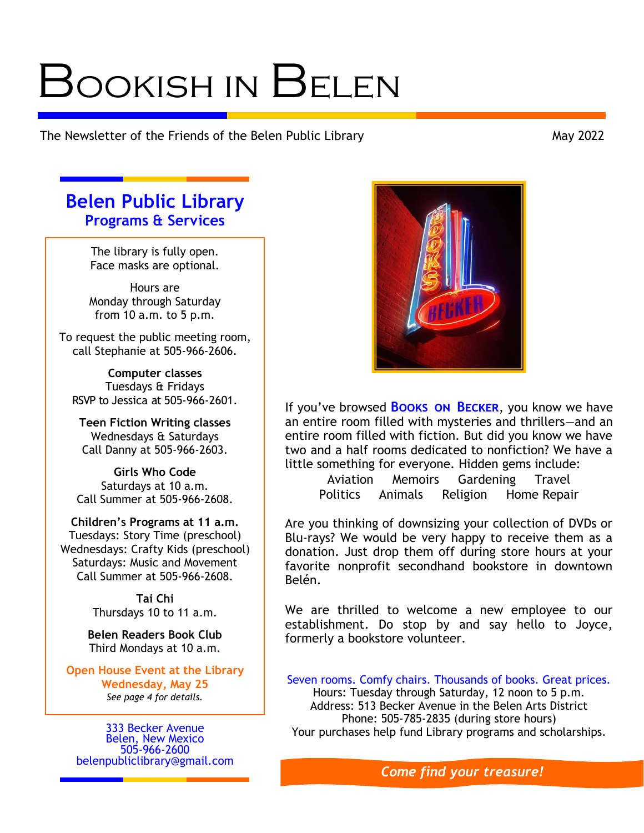# Bookish in Belen

The Newsletter of the Friends of the Belen Public Library May 2022

# **Belen Public Library Programs & Services**

The library is fully open. Face masks are optional.

Hours are Monday through Saturday from 10 a.m. to 5 p.m.

To request the public meeting room, call Stephanie at 505-966-2606.

**Computer classes** Tuesdays & Fridays RSVP to Jessica at 505-966-2601.

**Teen Fiction Writing classes** Wednesdays & Saturdays Call Danny at 505-966-2603.

**Girls Who Code** Saturdays at 10 a.m. Call Summer at 505-966-2608.

**Children's Programs at 11 a.m.** Tuesdays: Story Time (preschool) Wednesdays: Crafty Kids (preschool) Saturdays: Music and Movement Call Summer at 505-966-2608.

> **Tai Chi** Thursdays 10 to 11 a.m.

**Belen Readers Book Club** Third Mondays at 10 a.m.

**Open House Event at the Library Wednesday, May 25** *See page 4 for details.*

333 Becker Avenue Belen, New Mexico 505-966-2600 [belenpubliclibrary@gmail.com](mailto:belenpubliclibrary@gmail.com)



If you've browsed **Books on Becker**, you know we have an entire room filled with mysteries and thrillers—and an entire room filled with fiction. But did you know we have two and a half rooms dedicated to nonfiction? We have a little something for everyone. Hidden gems include:

Aviation Memoirs Gardening Travel Politics Animals Religion Home Repair

Are you thinking of downsizing your collection of DVDs or Blu-rays? We would be very happy to receive them as a donation. Just drop them off during store hours at your favorite nonprofit secondhand bookstore in downtown Belén.

We are thrilled to welcome a new employee to our establishment. Do stop by and say hello to Joyce, formerly a bookstore volunteer.

Seven rooms. Comfy chairs. Thousands of books. Great prices. Hours: Tuesday through Saturday, 12 noon to 5 p.m. Address: 513 Becker Avenue in the Belen Arts District Phone: 505-785-2835 (during store hours) Your purchases help fund Library programs and scholarships.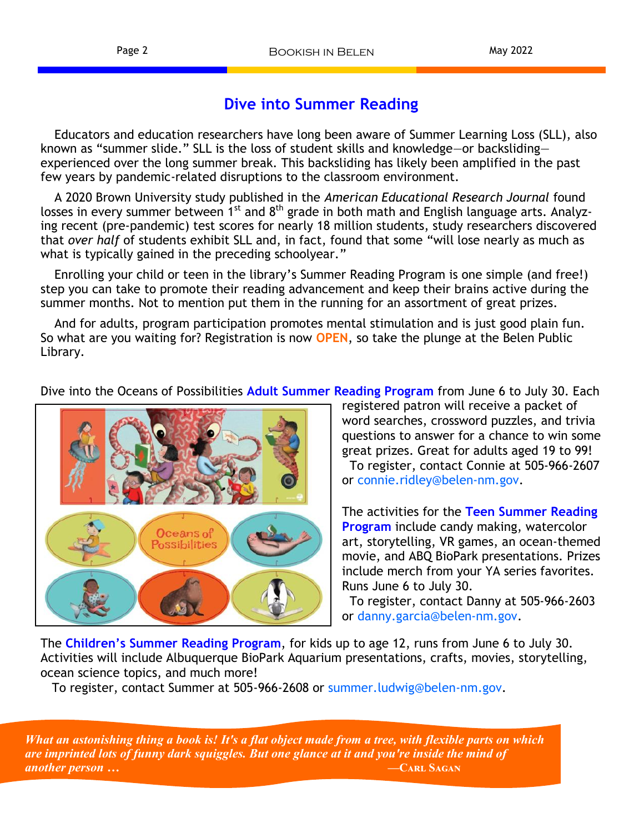## **Dive into Summer Reading**

Educators and education researchers have long been aware of Summer Learning Loss (SLL), also known as "summer slide." SLL is the loss of student skills and knowledge—or backsliding experienced over the long summer break. This backsliding has likely been amplified in the past few years by pandemic-related disruptions to the classroom environment.

A 2020 Brown University study published in the *American Educational Research Journal* found losses in every summer between 1<sup>st</sup> and 8<sup>th</sup> grade in both math and English language arts. Analyzing recent (pre-pandemic) test scores for nearly 18 million students, study researchers discovered that *over half* of students exhibit SLL and, in fact, found that some "will lose nearly as much as what is typically gained in the preceding schoolyear."

Enrolling your child or teen in the library's Summer Reading Program is one simple (and free!) step you can take to promote their reading advancement and keep their brains active during the summer months. Not to mention put them in the running for an assortment of great prizes.

And for adults, program participation promotes mental stimulation and is just good plain fun. So what are you waiting for? Registration is now **OPEN**, so take the plunge at the Belen Public Library.

Dive into the Oceans of Possibilities **Adult Summer Reading Program** from June 6 to July 30. Each



registered patron will receive a packet of word searches, crossword puzzles, and trivia questions to answer for a chance to win some great prizes. Great for adults aged 19 to 99! To register, contact Connie at 505-966-2607 or connie.ridley@belen-nm.gov.

The activities for the **Teen Summer Reading Program** include candy making, watercolor art, storytelling, VR games, an ocean-themed movie, and ABQ BioPark presentations. Prizes include merch from your YA series favorites. Runs June 6 to July 30.

 To register, contact Danny at 505-966-2603 or danny.garcia@belen-nm.gov.

The **Children's Summer Reading Program**, for kids up to age 12, runs from June 6 to July 30. Activities will include Albuquerque BioPark Aquarium presentations, crafts, movies, storytelling, ocean science topics, and much more!

To register, contact Summer at 505-966-2608 or summer.ludwig@belen-nm.gov.

 *What an astonishing thing a book is! It's a flat object made from a tree, with flexible parts on which are imprinted lots of funny dark squiggles. But one glance at it and you're inside the mind of another person …* **<b>***—CARL SAGAN*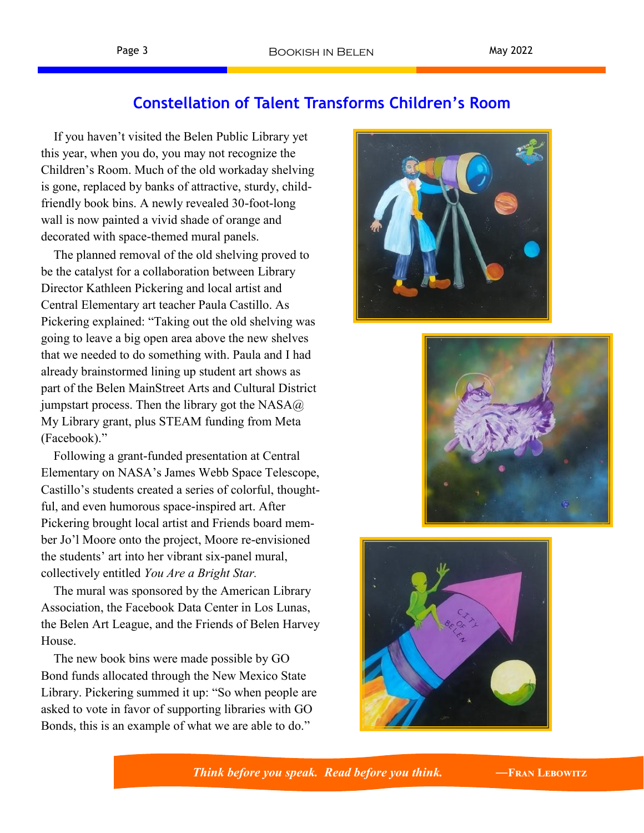## **Constellation of Talent Transforms Children's Room**

 If you haven't visited the Belen Public Library yet this year, when you do, you may not recognize the Children's Room. Much of the old workaday shelving is gone, replaced by banks of attractive, sturdy, childfriendly book bins. A newly revealed 30-foot-long wall is now painted a vivid shade of orange and decorated with space-themed mural panels.

 The planned removal of the old shelving proved to be the catalyst for a collaboration between Library Director Kathleen Pickering and local artist and Central Elementary art teacher Paula Castillo. As Pickering explained: "Taking out the old shelving was going to leave a big open area above the new shelves that we needed to do something with. Paula and I had already brainstormed lining up student art shows as part of the Belen MainStreet Arts and Cultural District jumpstart process. Then the library got the  $NASA@$ My Library grant, plus STEAM funding from Meta (Facebook)."

 Following a grant-funded presentation at Central Elementary on NASA's James Webb Space Telescope, Castillo's students created a series of colorful, thoughtful, and even humorous space-inspired art. After Pickering brought local artist and Friends board member Jo'l Moore onto the project, Moore re-envisioned the students' art into her vibrant six-panel mural, collectively entitled *You Are a Bright Star.*

 The mural was sponsored by the American Library Association, the Facebook Data Center in Los Lunas, the Belen Art League, and the Friends of Belen Harvey House.

 The new book bins were made possible by GO Bond funds allocated through the New Mexico State Library. Pickering summed it up: "So when people are asked to vote in favor of supporting libraries with GO Bonds, this is an example of what we are able to do."







 *Think before you speak. Read before you think. ―***Fran Lebowitz**